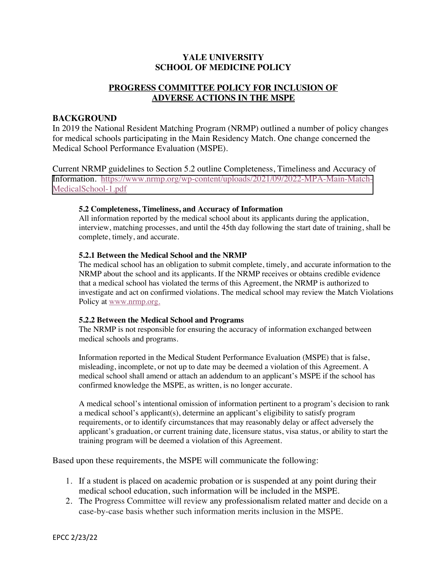# **YALE UNIVERSITY SCHOOL OF MEDICINE POLICY**

## **PROGRESS COMMITTEE POLICY FOR INCLUSION OF ADVERSE ACTIONS IN THE MSPE**

### **BACKGROUND**

In 2019 the National Resident Matching Program (NRMP) outlined a number of policy changes for medical schools participating in the Main Residency Match. One change concerned the Medical School Performance Evaluation (MSPE).

Current NRMP guidelines to Section 5.2 outline Completeness, Timeliness and Accuracy of [Information. https://www.nrmp.org/wp-content/uploads/2021/09/2022-MPA-Main-Match-](https://www.nrmp.org/wp-content/uploads/2021/09/2022-MPA-Main-Match-MedicalSchool-1.pdf)MedicalSchool-1.pdf

### **5.2 Completeness, Timeliness, and Accuracy of Information**

All information reported by the medical school about its applicants during the application, interview, matching processes, and until the 45th day following the start date of training, shall be complete, timely, and accurate.

### **5.2.1 Between the Medical School and the NRMP**

The medical school has an obligation to submit complete, timely, and accurate information to the NRMP about the school and its applicants. If the NRMP receives or obtains credible evidence that a medical school has violated the terms of this Agreement, the NRMP is authorized to investigate and act on confirmed violations. The medical school may review the Match Violations Policy at www.nrmp.org.

#### **5.2.2 Between the Medical School and Programs**

The NRMP is not responsible for ensuring the accuracy of information exchanged between medical schools and programs.

Information reported in the Medical Student Performance Evaluation (MSPE) that is false, misleading, incomplete, or not up to date may be deemed a violation of this Agreement. A medical school shall amend or attach an addendum to an applicant's MSPE if the school has confirmed knowledge the MSPE, as written, is no longer accurate.

A medical school's intentional omission of information pertinent to a program's decision to rank a medical school's applicant(s), determine an applicant's eligibility to satisfy program requirements, or to identify circumstances that may reasonably delay or affect adversely the applicant's graduation, or current training date, licensure status, visa status, or ability to start the training program will be deemed a violation of this Agreement.

Based upon these requirements, the MSPE will communicate the following:

- 1. If a student is placed on academic probation or is suspended at any point during their medical school education, such information will be included in the MSPE.
- 2. The Progress Committee will review any professionalism related matter and decide on a case-by-case basis whether such information merits inclusion in the MSPE.